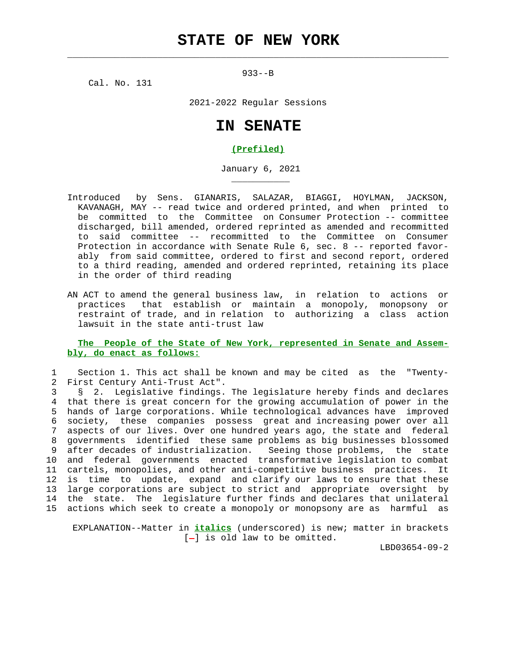$\mathcal{L}_\text{max} = \frac{1}{2} \sum_{i=1}^{n} \frac{1}{2} \sum_{i=1}^{n} \frac{1}{2} \sum_{i=1}^{n} \frac{1}{2} \sum_{i=1}^{n} \frac{1}{2} \sum_{i=1}^{n} \frac{1}{2} \sum_{i=1}^{n} \frac{1}{2} \sum_{i=1}^{n} \frac{1}{2} \sum_{i=1}^{n} \frac{1}{2} \sum_{i=1}^{n} \frac{1}{2} \sum_{i=1}^{n} \frac{1}{2} \sum_{i=1}^{n} \frac{1}{2} \sum_{i=1}^{n} \frac{1$ 

933--B

Cal. No. 131

\_\_\_\_\_\_\_\_\_\_\_

2021-2022 Regular Sessions

## **IN SENATE**

## **(Prefiled)**

January 6, 2021

- Introduced by Sens. GIANARIS, SALAZAR, BIAGGI, HOYLMAN, JACKSON, KAVANAGH, MAY -- read twice and ordered printed, and when printed to be committed to the Committee on Consumer Protection -- committee discharged, bill amended, ordered reprinted as amended and recommitted to said committee -- recommitted to the Committee on Consumer Protection in accordance with Senate Rule 6, sec. 8 -- reported favor ably from said committee, ordered to first and second report, ordered to a third reading, amended and ordered reprinted, retaining its place in the order of third reading
- AN ACT to amend the general business law, in relation to actions or practices that establish or maintain a monopoly, monopsony or restraint of trade, and in relation to authorizing a class action lawsuit in the state anti-trust law

## **The People of the State of New York, represented in Senate and Assem bly, do enact as follows:**

 1 Section 1. This act shall be known and may be cited as the "Twenty- 2 First Century Anti-Trust Act".

 3 § 2. Legislative findings. The legislature hereby finds and declares 4 that there is great concern for the growing accumulation of power in the 5 hands of large corporations. While technological advances have improved 6 society, these companies possess great and increasing power over all 7 aspects of our lives. Over one hundred years ago, the state and federal 8 governments identified these same problems as big businesses blossomed 9 after decades of industrialization. Seeing those problems, the state 10 and federal governments enacted transformative legislation to combat 11 cartels, monopolies, and other anti-competitive business practices. It 12 is time to update, expand and clarify our laws to ensure that these 13 large corporations are subject to strict and appropriate oversight by 14 the state. The legislature further finds and declares that unilateral 15 actions which seek to create a monopoly or monopsony are as harmful as

 EXPLANATION--Matter in **italics** (underscored) is new; matter in brackets [-] is old law to be omitted.

LBD03654-09-2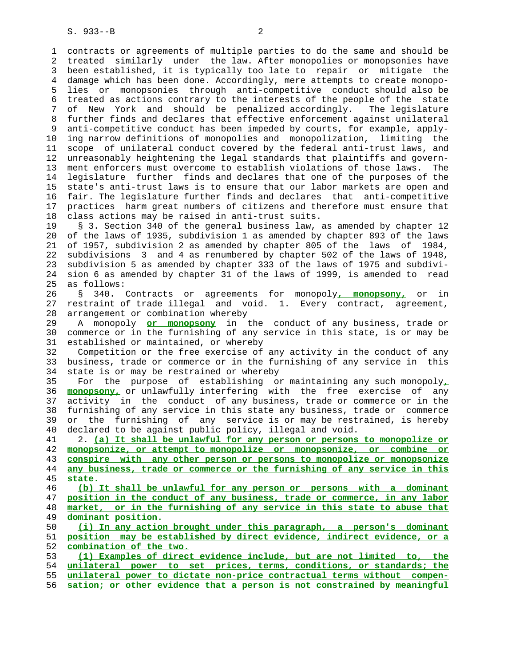1 contracts or agreements of multiple parties to do the same and should be 2 treated similarly under the law. After monopolies or monopsonies have 3 been established, it is typically too late to repair or mitigate the 4 damage which has been done. Accordingly, mere attempts to create monopo- 5 lies or monopsonies through anti-competitive conduct should also be 6 treated as actions contrary to the interests of the people of the state 7 of New York and should be penalized accordingly. The legislature 8 further finds and declares that effective enforcement against unilateral 9 anti-competitive conduct has been impeded by courts, for example, apply- 10 ing narrow definitions of monopolies and monopolization, limiting the 11 scope of unilateral conduct covered by the federal anti-trust laws, and 12 unreasonably heightening the legal standards that plaintiffs and govern- 13 ment enforcers must overcome to establish violations of those laws. The 14 legislature further finds and declares that one of the purposes of the 15 state's anti-trust laws is to ensure that our labor markets are open and 16 fair. The legislature further finds and declares that anti-competitive 17 practices harm great numbers of citizens and therefore must ensure that 18 class actions may be raised in anti-trust suits.

 19 § 3. Section 340 of the general business law, as amended by chapter 12 20 of the laws of 1935, subdivision 1 as amended by chapter 893 of the laws 21 of 1957, subdivision 2 as amended by chapter 805 of the laws of 1984, 22 subdivisions 3 and 4 as renumbered by chapter 502 of the laws of 1948, 23 subdivision 5 as amended by chapter 333 of the laws of 1975 and subdivi- 24 sion 6 as amended by chapter 31 of the laws of 1999, is amended to read 25 as follows:

 26 § 340. Contracts or agreements for monopoly**, monopsony,** or in 27 restraint of trade illegal and void. 1. Every contract, agreement, 28 arrangement or combination whereby

 29 A monopoly **or monopsony** in the conduct of any business, trade or 30 commerce or in the furnishing of any service in this state, is or may be 31 established or maintained, or whereby

 32 Competition or the free exercise of any activity in the conduct of any 33 business, trade or commerce or in the furnishing of any service in this 34 state is or may be restrained or whereby

 35 For the purpose of establishing or maintaining any such monopoly**,** 36 **monopsony,** or unlawfully interfering with the free exercise of any 37 activity in the conduct of any business, trade or commerce or in the 38 furnishing of any service in this state any business, trade or commerce 39 or the furnishing of any service is or may be restrained, is hereby 40 declared to be against public policy, illegal and void.

 41 2. **(a) It shall be unlawful for any person or persons to monopolize or** 42 **monopsonize, or attempt to monopolize or monopsonize, or combine or** 43 **conspire with any other person or persons to monopolize or monopsonize** 44 **any business, trade or commerce or the furnishing of any service in this** 45 **state.**

**(b) It shall be unlawful for any person or persons with a dominant position in the conduct of any business, trade or commerce, in any labor market, or in the furnishing of any service in this state to abuse that dominant position.**

 50 **(i) In any action brought under this paragraph, a person's dominant** 51 **position may be established by direct evidence, indirect evidence, or a** 52 **combination of the two.**

**(1) Examples of direct evidence include, but are not limited to, the unilateral power to set prices, terms, conditions, or standards; the unilateral power to dictate non-price contractual terms without compen- sation; or other evidence that a person is not constrained by meaningful**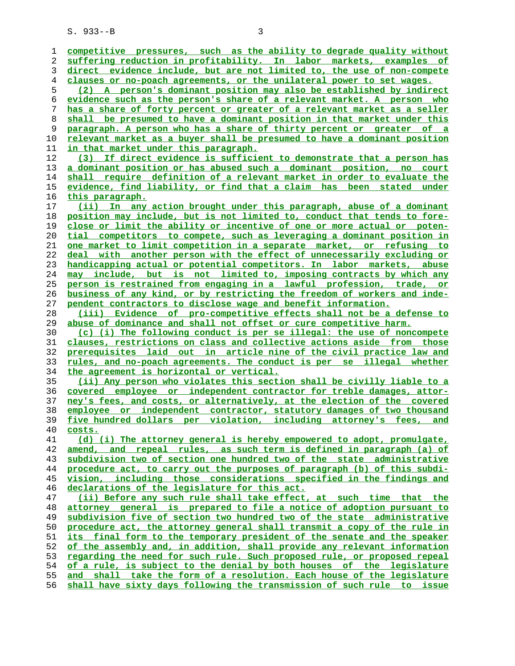S. 933--B 3

**competitive pressures, such as the ability to degrade quality without suffering reduction in profitability. In labor markets, examples of direct evidence include, but are not limited to, the use of non-compete clauses or no-poach agreements, or the unilateral power to set wages. (2) A person's dominant position may also be established by indirect evidence such as the person's share of a relevant market. A person who has a share of forty percent or greater of a relevant market as a seller shall be presumed to have a dominant position in that market under this paragraph. A person who has a share of thirty percent or greater of a relevant market as a buyer shall be presumed to have a dominant position in that market under this paragraph. (3) If direct evidence is sufficient to demonstrate that a person has a dominant position or has abused such a dominant position, no court shall require definition of a relevant market in order to evaluate the evidence, find liability, or find that a claim has been stated under this paragraph. (ii) In any action brought under this paragraph, abuse of a dominant position may include, but is not limited to, conduct that tends to fore- close or limit the ability or incentive of one or more actual or poten- tial competitors to compete, such as leveraging a dominant position in one market to limit competition in a separate market, or refusing to deal with another person with the effect of unnecessarily excluding or handicapping actual or potential competitors. In labor markets, abuse may include, but is not limited to, imposing contracts by which any person is restrained from engaging in a lawful profession, trade, or business of any kind, or by restricting the freedom of workers and inde- pendent contractors to disclose wage and benefit information. (iii) Evidence of pro-competitive effects shall not be a defense to abuse of dominance and shall not offset or cure competitive harm. (c) (i) The following conduct is per se illegal: the use of noncompete clauses, restrictions on class and collective actions aside from those prerequisites laid out in article nine of the civil practice law and rules, and no-poach agreements. The conduct is per se illegal whether the agreement is horizontal or vertical. (ii) Any person who violates this section shall be civilly liable to a covered employee or independent contractor for treble damages, attor- ney's fees, and costs, or alternatively, at the election of the covered employee or independent contractor, statutory damages of two thousand five hundred dollars per violation, including attorney's fees, and costs. (d) (i) The attorney general is hereby empowered to adopt, promulgate, amend, and repeal rules, as such term is defined in paragraph (a) of subdivision two of section one hundred two of the state administrative procedure act, to carry out the purposes of paragraph (b) of this subdi- vision, including those considerations specified in the findings and declarations of the legislature for this act. (ii) Before any such rule shall take effect, at such time that the attorney general is prepared to file a notice of adoption pursuant to subdivision five of section two hundred two of the state administrative procedure act, the attorney general shall transmit a copy of the rule in its final form to the temporary president of the senate and the speaker of the assembly and, in addition, shall provide any relevant information regarding the need for such rule. Such proposed rule, or proposed repeal of a rule, is subject to the denial by both houses of the legislature and shall take the form of a resolution. Each house of the legislature shall have sixty days following the transmission of such rule to issue**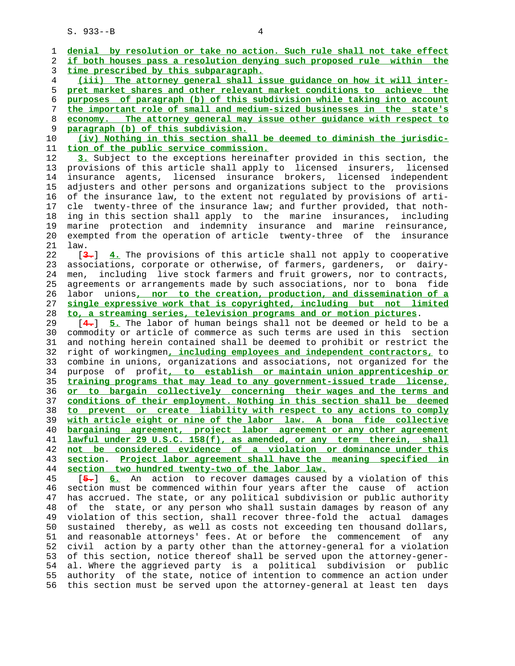S. 933--B 4

 1 **denial by resolution or take no action. Such rule shall not take effect** 2 **if both houses pass a resolution denying such proposed rule within the** 3 **time prescribed by this subparagraph.** 4 **(iii) The attorney general shall issue guidance on how it will inter-** 5 **pret market shares and other relevant market conditions to achieve the** 6 **purposes of paragraph (b) of this subdivision while taking into account** 7 **the important role of small and medium-sized businesses in the state's** 8 **economy. The attorney general may issue other guidance with respect to** 9 **paragraph (b) of this subdivision.** 10 **(iv) Nothing in this section shall be deemed to diminish the jurisdic-** 11 **tion of the public service commission.** 12 **3.** Subject to the exceptions hereinafter provided in this section, the 13 provisions of this article shall apply to licensed insurers, licensed 14 insurance agents, licensed insurance brokers, licensed independent 15 adjusters and other persons and organizations subject to the provisions 16 of the insurance law, to the extent not regulated by provisions of arti- 17 cle twenty-three of the insurance law; and further provided, that noth- 18 ing in this section shall apply to the marine insurances, including 19 marine protection and indemnity insurance and marine reinsurance, 20 exempted from the operation of article twenty-three of the insurance 21 law. 22 [**3.**] **4.** The provisions of this article shall not apply to cooperative 23 associations, corporate or otherwise, of farmers, gardeners, or dairy- 24 men, including live stock farmers and fruit growers, nor to contracts, 25 agreements or arrangements made by such associations, nor to bona fide 26 labor unions**, nor to the creation, production, and dissemination of a** 27 **single expressive work that is copyrighted, including but not limited** 28 **to, a streaming series, television programs and or motion pictures**. 29 [**4.**] **5.** The labor of human beings shall not be deemed or held to be a 30 commodity or article of commerce as such terms are used in this section 31 and nothing herein contained shall be deemed to prohibit or restrict the 32 right of workingmen**, including employees and independent contractors,** to 33 combine in unions, organizations and associations, not organized for the 34 purpose of profit**, to establish or maintain union apprenticeship or** 35 **training programs that may lead to any government-issued trade license,** 36 **or to bargain collectively concerning their wages and the terms and** 37 **conditions of their employment. Nothing in this section shall be deemed** 38 **to prevent or create liability with respect to any actions to comply** 39 **with article eight or nine of the labor law. A bona fide collective** 40 **bargaining agreement, project labor agreement or any other agreement** 41 **lawful under 29 U.S.C. 158(f), as amended, or any term therein, shall** 42 **not be considered evidence of a violation or dominance under this** 43 **section**. **Project labor agreement shall have the meaning specified in** 44 **section two hundred twenty-two of the labor law.** 45 [**5.**] **6.** An action to recover damages caused by a violation of this 46 section must be commenced within four years after the cause of action 47 has accrued. The state, or any political subdivision or public authority 48 of the state, or any person who shall sustain damages by reason of any 49 violation of this section, shall recover three-fold the actual damages

 50 sustained thereby, as well as costs not exceeding ten thousand dollars, 51 and reasonable attorneys' fees. At or before the commencement of any 52 civil action by a party other than the attorney-general for a violation 53 of this section, notice thereof shall be served upon the attorney-gener- 54 al. Where the aggrieved party is a political subdivision or public 55 authority of the state, notice of intention to commence an action under 56 this section must be served upon the attorney-general at least ten days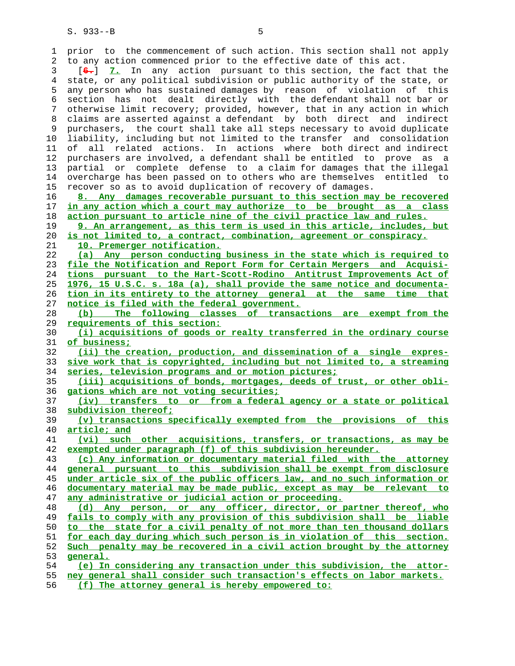1 prior to the commencement of such action. This section shall not apply 2 to any action commenced prior to the effective date of this act. 3 [**6.**] **7.** In any action pursuant to this section, the fact that the 4 state, or any political subdivision or public authority of the state, or 5 any person who has sustained damages by reason of violation of this 6 section has not dealt directly with the defendant shall not bar or 7 otherwise limit recovery; provided, however, that in any action in which 8 claims are asserted against a defendant by both direct and indirect 9 purchasers, the court shall take all steps necessary to avoid duplicate 10 liability, including but not limited to the transfer and consolidation 11 of all related actions. In actions where both direct and indirect 12 purchasers are involved, a defendant shall be entitled to prove as a 13 partial or complete defense to a claim for damages that the illegal 14 overcharge has been passed on to others who are themselves entitled to 15 recover so as to avoid duplication of recovery of damages. **8. Any damages recoverable pursuant to this section may be recovered in any action which a court may authorize to be brought as a class action pursuant to article nine of the civil practice law and rules. 9. An arrangement, as this term is used in this article, includes, but is not limited to, a contract, combination, agreement or conspiracy. 10. Premerger notification. (a) Any person conducting business in the state which is required to file the Notification and Report Form for Certain Mergers and Acquisi- tions pursuant to the Hart-Scott-Rodino Antitrust Improvements Act of 1976, 15 U.S.C. s. 18a (a), shall provide the same notice and documenta- tion in its entirety to the attorney general at the same time that notice is filed with the federal government. (b) The following classes of transactions are exempt from the requirements of this section: (i) acquisitions of goods or realty transferred in the ordinary course of business; (ii) the creation, production, and dissemination of a single expres- sive work that is copyrighted, including but not limited to, a streaming series, television programs and or motion pictures; (iii) acquisitions of bonds, mortgages, deeds of trust, or other obli- gations which are not voting securities; (iv) transfers to or from a federal agency or a state or political subdivision thereof; (v) transactions specifically exempted from the provisions of this article; and (vi) such other acquisitions, transfers, or transactions, as may be exempted under paragraph (f) of this subdivision hereunder. (c) Any information or documentary material filed with the attorney general pursuant to this subdivision shall be exempt from disclosure under article six of the public officers law, and no such information or documentary material may be made public, except as may be relevant to any administrative or judicial action or proceeding. (d) Any person, or any officer, director, or partner thereof, who fails to comply with any provision of this subdivision shall be liable to the state for a civil penalty of not more than ten thousand dollars for each day during which such person is in violation of this section. Such penalty may be recovered in a civil action brought by the attorney general. (e) In considering any transaction under this subdivision, the attor- ney general shall consider such transaction's effects on labor markets. (f) The attorney general is hereby empowered to:**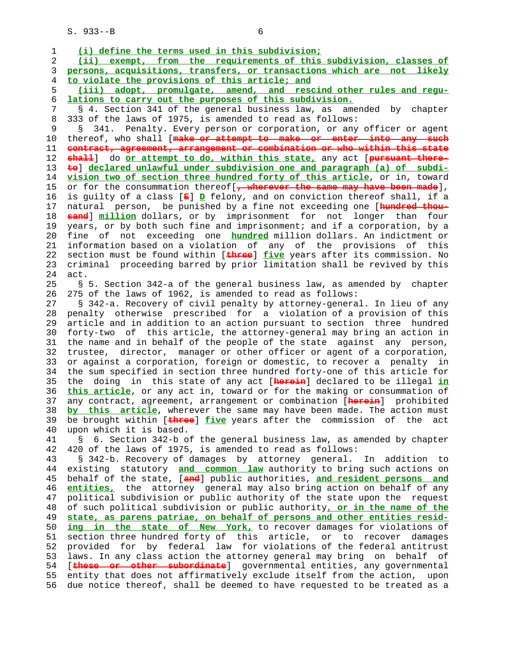S. 933--B 6

| 1              | (i) define the terms used in this subdivision;                                        |
|----------------|---------------------------------------------------------------------------------------|
| 2              | (ii) exempt, from the requirements of this subdivision, classes of                    |
| 3              | persons, acquisitions, transfers, or transactions which are not likely                |
| $\overline{4}$ | to violate the provisions of this article; and                                        |
| 5              | (iii) adopt, promulgate, amend, and rescind other rules and regu-                     |
| 6              | lations to carry out the purposes of this subdivision.                                |
| 7              | § 4. Section 341 of the general business law, as amended by chapter                   |
|                |                                                                                       |
| 8              | 333 of the laws of 1975, is amended to read as follows:                               |
| 9              | 341. Penalty. Every person or corporation, or any officer or agent<br>g               |
| 10             | thereof, who shall [make or attempt to make or enter into any such                    |
| 11             | contract, agreement, arrangement or combination or who within this state              |
| 12             | chall] do or attempt to do, within this state, any act [pursuant there-               |
| 13             | to declared unlawful under subdivision one and paragraph (a) of subdi-                |
| 14             | vision two of section three hundred forty of this article, or in, toward              |
| 15             | or for the consummation thereof [, wherever the same may have been made],             |
| 16             | is guilty of a class $[\mathbf{E}]$ $D$ felony, and on conviction thereof shall, if a |
| 17             | natural person, be punished by a fine not exceeding one [hundred thou-                |
| 18             | <b>sand</b> ] million dollars, or by imprisonment for not longer than four            |
| 19             | years, or by both such fine and imprisonment; and if a corporation, by a              |
| 20             | fine of not exceeding one <b>hundred</b> million dollars. An indictment or            |
| 21             | information based on a violation of any of the provisions of this                     |
| 22             | section must be found within [three] five years after its commission. No              |
| 23             | criminal proceeding barred by prior limitation shall be revived by this               |
| 24             | act.                                                                                  |
| 25             | § 5. Section 342-a of the general business law, as amended by chapter                 |
| 26             | 275 of the laws of 1962, is amended to read as follows:                               |
| 27             | § 342-a. Recovery of civil penalty by attorney-general. In lieu of any                |
| 28             | penalty otherwise prescribed for a violation of a provision of this                   |
| 29             | article and in addition to an action pursuant to section three hundred                |
| 30             | forty-two of this article, the attorney-general may bring an action in                |
| 31             | the name and in behalf of the people of the state against any person,                 |
| 32             | trustee, director, manager or other officer or agent of a corporation,                |
| 33             | or against a corporation, foreign or domestic, to recover a penalty in                |
| 34             | the sum specified in section three hundred forty-one of this article for              |
| 35             | the doing in this state of any act [herein] declared to be illegal in                 |
| 36             | this article, or any act in, toward or for the making or consummation of              |
| 37             | any contract, agreement, arrangement or combination [herein] prohibited               |
| 38             | by this article, wherever the same may have been made. The action must                |
| 39             | be brought within [three] five years after the commission of the act                  |
| 40             | upon which it is based.                                                               |
| 41             | 6. Section 342-b of the general business law, as amended by chapter<br>S              |
| 42             | 420 of the laws of 1975, is amended to read as follows:                               |
| 43             | § 342-b. Recovery of damages by attorney general. In addition to                      |
| 44             | existing statutory and common law authority to bring such actions on                  |
| 45             | behalf of the state, [and] public authorities, and resident persons and               |
| 46             | entities, the attorney general may also bring action on behalf of any                 |
| 47             | political subdivision or public authority of the state upon the request               |
| 48             | of such political subdivision or public authority, or in the name of the              |
| 49             | state, as parens patriae, on behalf of persons and other entities resid-              |
| 50             | ing in the state of New York, to recover damages for violations of                    |
| 51             | section three hundred forty of this article, or to recover damages                    |
| 52             | provided for by federal law for violations of the federal antitrust                   |
| 53             | laws. In any class action the attorney general may bring on behalf of                 |
| 54             | [these or other subordinate] governmental entities, any governmental                  |
| 55             |                                                                                       |
|                | entity that does not affirmatively exclude itself from the action, upon               |
| 56             | due notice thereof, shall be deemed to have requested to be treated as a              |